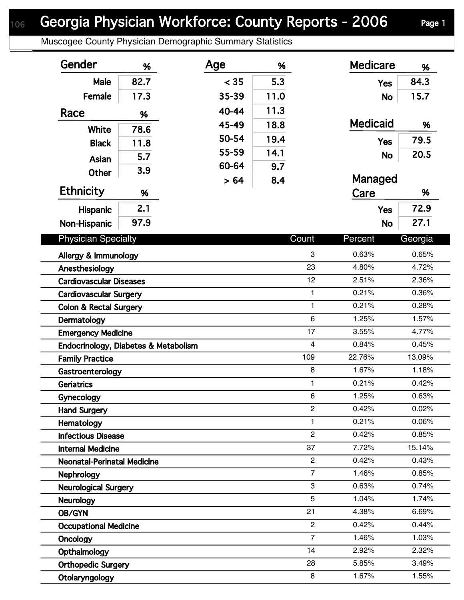## Georgia Physician Workforce: County Reports - 2006 Page 1

Muscogee County Physician Demographic Summary Statistics

| Gender                               | %    | Age   | %    |                | <b>Medicare</b> | %       |  |
|--------------------------------------|------|-------|------|----------------|-----------------|---------|--|
| <b>Male</b>                          | 82.7 | < 35  | 5.3  |                | <b>Yes</b>      | 84.3    |  |
| Female                               | 17.3 | 35-39 | 11.0 |                | <b>No</b>       | 15.7    |  |
| Race                                 | %    | 40-44 | 11.3 |                |                 |         |  |
|                                      |      | 45-49 | 18.8 |                | <b>Medicaid</b> | %       |  |
| White                                | 78.6 | 50-54 | 19.4 |                |                 | 79.5    |  |
| <b>Black</b>                         | 11.8 | 55-59 | 14.1 |                | <b>Yes</b>      |         |  |
| Asian                                | 5.7  | 60-64 | 9.7  |                | <b>No</b>       | 20.5    |  |
| <b>Other</b>                         | 3.9  | > 64  | 8.4  |                | Managed         |         |  |
| <b>Ethnicity</b>                     | %    |       |      |                | Care            | %       |  |
| Hispanic                             | 2.1  |       |      |                | <b>Yes</b>      | 72.9    |  |
|                                      | 97.9 |       |      |                |                 | 27.1    |  |
| Non-Hispanic                         |      |       |      |                | <b>No</b>       |         |  |
| <b>Physician Specialty</b>           |      |       |      | Count          | Percent         | Georgia |  |
| Allergy & Immunology                 |      |       |      | 3              | 0.63%           | 0.65%   |  |
| Anesthesiology                       |      |       |      | 23             | 4.80%           | 4.72%   |  |
| <b>Cardiovascular Diseases</b>       |      |       |      | 12             | 2.51%           | 2.36%   |  |
| <b>Cardiovascular Surgery</b>        |      |       |      | $\mathbf{1}$   | 0.21%           | 0.36%   |  |
| <b>Colon &amp; Rectal Surgery</b>    |      |       |      | $\mathbf{1}$   | 0.21%           | 0.28%   |  |
| Dermatology                          |      |       |      | 6              | 1.25%           | 1.57%   |  |
| <b>Emergency Medicine</b>            |      |       |      | 17             | 3.55%           | 4.77%   |  |
| Endocrinology, Diabetes & Metabolism |      |       |      | $\overline{4}$ | 0.84%           | 0.45%   |  |
| <b>Family Practice</b>               |      |       |      | 109            | 22.76%          | 13.09%  |  |
| Gastroenterology                     |      |       |      | 8              | 1.67%           | 1.18%   |  |
| <b>Geriatrics</b>                    |      |       |      | 1              | 0.21%           | 0.42%   |  |
| Gynecology                           |      |       |      | 6              | 1.25%           | 0.63%   |  |
| <b>Hand Surgery</b>                  |      |       |      | $\overline{c}$ | 0.42%           | 0.02%   |  |
| Hematology                           |      |       |      | 1              | 0.21%           | 0.06%   |  |
| <b>Infectious Disease</b>            |      |       |      | $\overline{2}$ | 0.42%           | 0.85%   |  |
| <b>Internal Medicine</b>             |      |       |      | 37             | 7.72%           | 15.14%  |  |
| <b>Neonatal-Perinatal Medicine</b>   |      |       |      | $\overline{2}$ | 0.42%           | 0.43%   |  |
| <b>Nephrology</b>                    |      |       |      | $\overline{7}$ | 1.46%           | 0.85%   |  |
| <b>Neurological Surgery</b>          |      |       |      | 3              | 0.63%           | 0.74%   |  |
| <b>Neurology</b>                     |      |       |      | 5              | 1.04%           | 1.74%   |  |
| OB/GYN                               |      |       |      | 21             | 4.38%           | 6.69%   |  |
| <b>Occupational Medicine</b>         |      |       |      | $\overline{2}$ | 0.42%           | 0.44%   |  |
| Oncology                             |      |       |      | $\overline{7}$ | 1.46%           | 1.03%   |  |
| Opthalmology                         |      |       |      | 14             | 2.92%           | 2.32%   |  |
| <b>Orthopedic Surgery</b>            |      |       |      | 28             | 5.85%           | 3.49%   |  |
| Otolaryngology                       |      |       |      | 8              | 1.67%           | 1.55%   |  |